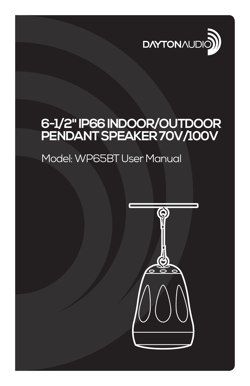

# **6-1/2" IP66 INDOOR/OUTDOOR PENDANT SPEAKER 70V/100V**

## Model: WP65BT User Manual

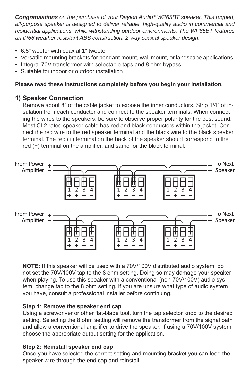*Congratulations on the purchase of your Dayton Audio® WP65BT speaker. This rugged, all-purpose speaker is designed to deliver reliable, high-quality audio in commercial and residential applications, while withstanding outdoor environments. The WP65BT features an IP66 weather-resistant ABS construction, 2-way coaxial speaker design.*

- 6.5" woofer with coaxial 1" tweeter
- Versatile mounting brackets for pendant mount, wall mount, or landscape applications.
- Integral 70V transformer with selectable taps and 8 ohm bypass
- Suitable for indoor or outdoor installation

## **Please read these instructions completely before you begin your installation.**

## **1) Speaker Connection**

Remove about 8" of the cable jacket to expose the inner conductors. Strip 1/4" of insulation from each conductor and connect to the speaker terminals. When connecting the wires to the speakers, be sure to observe proper polarity for the best sound. Most CL2 rated speaker cable has red and black conductors within the jacket. Connect the red wire to the red speaker terminal and the black wire to the black speaker terminal. The red (+) terminal on the back of the speaker should correspond to the red (+) terminal on the amplifier, and same for the black terminal.



**NOTE:** If this speaker will be used with a 70V/100V distributed audio system, do not set the 70V/100V tap to the 8 ohm setting. Doing so may damage your speaker when playing. To use this speaker with a conventional (non-70V/100V) audio system, change tap to the 8 ohm setting. If you are unsure what type of audio system vou have, consult a professional installer before continuing.

#### **Step 1: Remove the speaker end cap**

Using a screwdriver or other flat-blade tool, turn the tap selector knob to the desired setting. Selecting the 8 ohm setting will remove the transformer from the signal path and allow a conventional amplifier to drive the speaker. If using a 70V/100V system choose the appropriate output setting for the application.

#### **Step 2: Reinstall speaker end cap**

Once you have selected the correct setting and mounting bracket you can feed the speaker wire through the end cap and reinstall.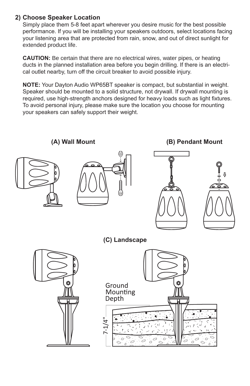## 2) Choose Speaker Location

Simply place them 5-8 feet apart wherever you desire music for the best possible performance. If you will be installing your speakers outdoors, select locations facing your listening area that are protected from rain, snow, and out of direct sunlight for extended product life.

**CAUTION:** Be certain that there are no electrical wires, water pipes, or heating ducts in the planned installation area before you begin drilling. If there is an electrical outlet nearby, turn off the circuit breaker to avoid possible injury.

**NOTE:** Your Dayton Audio WP65BT speaker is compact, but substantial in weight. Speaker should be mounted to a solid structure, not drywall. If drywall mounting is required, use high-strength anchors designed for heavy loads such as light fixtures. To avoid personal injury, please make sure the location you choose for mounting your speakers can safely support their weight.



(A) Wall Mount (B) Pendant Mount





**(C)** Landscape